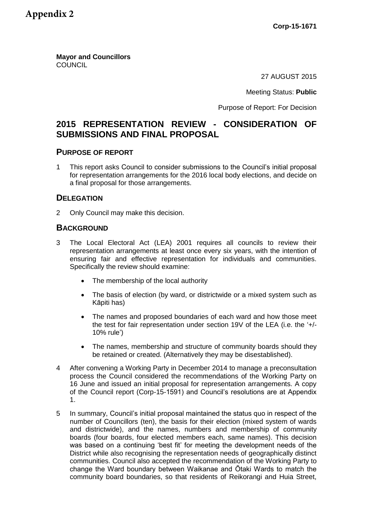**Mayor and Councillors COUNCIL** 

27 AUGUST 2015

Meeting Status: **Public**

Purpose of Report: For Decision

# **2015 REPRESENTATION REVIEW - CONSIDERATION OF SUBMISSIONS AND FINAL PROPOSAL**

### **PURPOSE OF REPORT**

1 This report asks Council to consider submissions to the Council's initial proposal for representation arrangements for the 2016 local body elections, and decide on a final proposal for those arrangements.

### **DELEGATION**

2 Only Council may make this decision.

## **BACKGROUND**

- 3 The Local Electoral Act (LEA) 2001 requires all councils to review their representation arrangements at least once every six years, with the intention of ensuring fair and effective representation for individuals and communities. Specifically the review should examine:
	- The membership of the local authority
	- The basis of election (by ward, or districtwide or a mixed system such as Kāpiti has)
	- The names and proposed boundaries of each ward and how those meet the test for fair representation under section 19V of the LEA (i.e. the '+/- 10% rule')
	- The names, membership and structure of community boards should they be retained or created. (Alternatively they may be disestablished).
- 4 After convening a Working Party in December 2014 to manage a preconsultation process the Council considered the recommendations of the Working Party on 16 June and issued an initial proposal for representation arrangements. A copy of the Council report (Corp-15-1591) and Council's resolutions are at Appendix 1.
- 5 In summary, Council's initial proposal maintained the status quo in respect of the number of Councillors (ten), the basis for their election (mixed system of wards and districtwide), and the names, numbers and membership of community boards (four boards, four elected members each, same names). This decision was based on a continuing 'best fit' for meeting the development needs of the District while also recognising the representation needs of geographically distinct communities. Council also accepted the recommendation of the Working Party to change the Ward boundary between Waikanae and Ōtaki Wards to match the community board boundaries, so that residents of Reikorangi and Huia Street,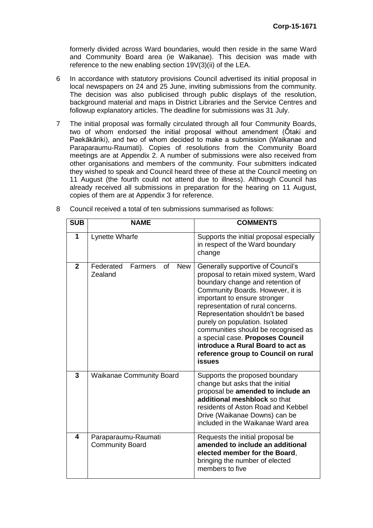formerly divided across Ward boundaries, would then reside in the same Ward and Community Board area (ie Waikanae). This decision was made with reference to the new enabling section 19V(3)(ii) of the LEA.

- 6 In accordance with statutory provisions Council advertised its initial proposal in local newspapers on 24 and 25 June, inviting submissions from the community. The decision was also publicised through public displays of the resolution, background material and maps in District Libraries and the Service Centres and followup explanatory articles. The deadline for submissions was 31 July.
- 7 The initial proposal was formally circulated through all four Community Boards, two of whom endorsed the initial proposal without amendment (Ōtaki and Paekākāriki), and two of whom decided to make a submission (Waikanae and Paraparaumu-Raumati). Copies of resolutions from the Community Board meetings are at Appendix 2. A number of submissions were also received from other organisations and members of the community. Four submitters indicated they wished to speak and Council heard three of these at the Council meeting on 11 August (the fourth could not attend due to illness). Although Council has already received all submissions in preparation for the hearing on 11 August, copies of them are at Appendix 3 for reference.

| <b>SUB</b>     | <b>NAME</b>                                         | <b>COMMENTS</b>                                                                                                                                                                                                                                                                                                                                                                                                                                                        |
|----------------|-----------------------------------------------------|------------------------------------------------------------------------------------------------------------------------------------------------------------------------------------------------------------------------------------------------------------------------------------------------------------------------------------------------------------------------------------------------------------------------------------------------------------------------|
| 1              | Lynette Wharfe                                      | Supports the initial proposal especially<br>in respect of the Ward boundary<br>change                                                                                                                                                                                                                                                                                                                                                                                  |
| $\overline{2}$ | Federated<br>of<br><b>New</b><br>Farmers<br>Zealand | Generally supportive of Council's<br>proposal to retain mixed system, Ward<br>boundary change and retention of<br>Community Boards. However, it is<br>important to ensure stronger<br>representation of rural concerns.<br>Representation shouldn't be based<br>purely on population. Isolated<br>communities should be recognised as<br>a special case. Proposes Council<br>introduce a Rural Board to act as<br>reference group to Council on rural<br><b>issues</b> |
| 3              | <b>Waikanae Community Board</b>                     | Supports the proposed boundary<br>change but asks that the initial<br>proposal be amended to include an<br>additional meshblock so that<br>residents of Aston Road and Kebbel<br>Drive (Waikanae Downs) can be<br>included in the Waikanae Ward area                                                                                                                                                                                                                   |
| 4              | Paraparaumu-Raumati<br><b>Community Board</b>       | Requests the initial proposal be<br>amended to include an additional<br>elected member for the Board,<br>bringing the number of elected<br>members to five                                                                                                                                                                                                                                                                                                             |

8 Council received a total of ten submissions summarised as follows: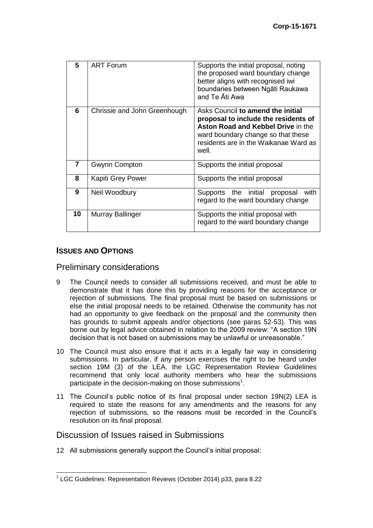| 5  | <b>ART Forum</b>             | Supports the initial proposal, noting<br>the proposed ward boundary change<br>better aligns with recognised iwi<br>boundaries between Ngāti Raukawa<br>and Te Āti Awa                                          |
|----|------------------------------|----------------------------------------------------------------------------------------------------------------------------------------------------------------------------------------------------------------|
| 6  | Chrissie and John Greenhough | Asks Council to amend the initial<br>proposal to include the residents of<br><b>Aston Road and Kebbel Drive in the</b><br>ward boundary change so that these<br>residents are in the Waikanae Ward as<br>well. |
| 7  | Gwynn Compton                | Supports the initial proposal                                                                                                                                                                                  |
| 8  | Kapiti Grey Power            | Supports the initial proposal                                                                                                                                                                                  |
| 9  | Neil Woodbury                | Supports the initial proposal<br>with<br>regard to the ward boundary change                                                                                                                                    |
| 10 | Murray Ballinger             | Supports the initial proposal with<br>regard to the ward boundary change                                                                                                                                       |

# **ISSUES AND OPTIONS**

### Preliminary considerations

- 9 The Council needs to consider all submissions received, and must be able to demonstrate that it has done this by providing reasons for the acceptance or rejection of submissions. The final proposal must be based on submissions or else the initial proposal needs to be retained. Otherwise the community has not had an opportunity to give feedback on the proposal and the community then has grounds to submit appeals and/or objections (see paras 52-53). This was borne out by legal advice obtained in relation to the 2009 review: "A section 19N decision that is not based on submissions may be unlawful or unreasonable."
- 10 The Council must also ensure that it acts in a legally fair way in considering submissions. In particular, if any person exercises the right to be heard under section 19M (3) of the LEA, the LGC Representation Review Guidelines recommend that only local authority members who hear the submissions participate in the decision-making on those submissions<sup>1</sup>.
- 11 The Council's public notice of its final proposal under section 19N(2) LEA is required to state the reasons for any amendments and the reasons for any rejection of submissions, so the reasons must be recorded in the Council's resolution on its final proposal.

## Discussion of Issues raised in Submissions

12 All submissions generally support the Council's initial proposal:

 1 LGC Guidelines: Representation Reviews (October 2014) p33, para 8.22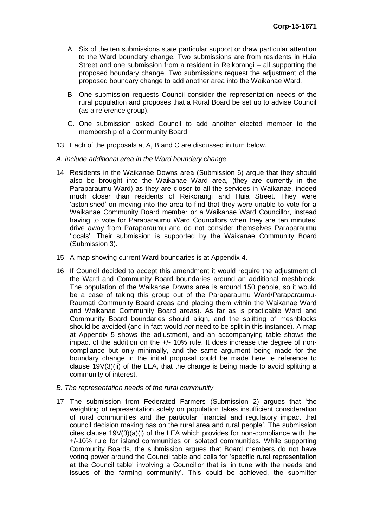- A. Six of the ten submissions state particular support or draw particular attention to the Ward boundary change. Two submissions are from residents in Huia Street and one submission from a resident in Reikorangi – all supporting the proposed boundary change. Two submissions request the adjustment of the proposed boundary change to add another area into the Waikanae Ward.
- B. One submission requests Council consider the representation needs of the rural population and proposes that a Rural Board be set up to advise Council (as a reference group).
- C. One submission asked Council to add another elected member to the membership of a Community Board.
- 13 Each of the proposals at A, B and C are discussed in turn below.

#### *A. Include additional area in the Ward boundary change*

- 14 Residents in the Waikanae Downs area (Submission 6) argue that they should also be brought into the Waikanae Ward area, (they are currently in the Paraparaumu Ward) as they are closer to all the services in Waikanae, indeed much closer than residents of Reikorangi and Huia Street. They were 'astonished' on moving into the area to find that they were unable to vote for a Waikanae Community Board member or a Waikanae Ward Councillor, instead having to vote for Paraparaumu Ward Councillors when they are ten minutes' drive away from Paraparaumu and do not consider themselves Paraparaumu 'locals'. Their submission is supported by the Waikanae Community Board (Submission 3).
- 15 A map showing current Ward boundaries is at Appendix 4.
- 16 If Council decided to accept this amendment it would require the adjustment of the Ward and Community Board boundaries around an additional meshblock. The population of the Waikanae Downs area is around 150 people, so it would be a case of taking this group out of the Paraparaumu Ward/Paraparaumu-Raumati Community Board areas and placing them within the Waikanae Ward and Waikanae Community Board areas). As far as is practicable Ward and Community Board boundaries should align, and the splitting of meshblocks should be avoided (and in fact would *not* need to be split in this instance). A map at Appendix 5 shows the adjustment, and an accompanying table shows the impact of the addition on the +/- 10% rule. It does increase the degree of noncompliance but only minimally, and the same argument being made for the boundary change in the initial proposal could be made here ie reference to clause 19V(3)(ii) of the LEA, that the change is being made to avoid splitting a community of interest.
- *B. The representation needs of the rural community*
- 17 The submission from Federated Farmers (Submission 2) argues that 'the weighting of representation solely on population takes insufficient consideration of rural communities and the particular financial and regulatory impact that council decision making has on the rural area and rural people'. The submission cites clause 19V(3)(a)(i) of the LEA which provides for non-compliance with the +/-10% rule for island communities or isolated communities. While supporting Community Boards, the submission argues that Board members do not have voting power around the Council table and calls for 'specific rural representation at the Council table' involving a Councillor that is 'in tune with the needs and issues of the farming community'. This could be achieved, the submitter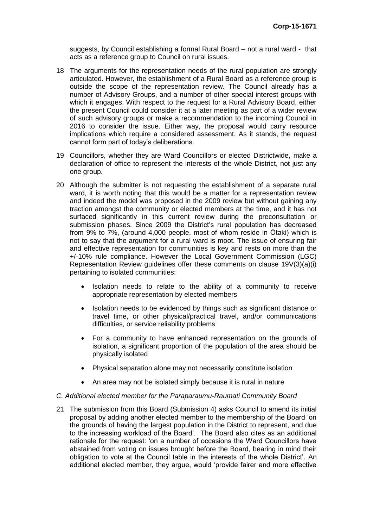suggests, by Council establishing a formal Rural Board – not a rural ward - that acts as a reference group to Council on rural issues.

- 18 The arguments for the representation needs of the rural population are strongly articulated. However, the establishment of a Rural Board as a reference group is outside the scope of the representation review. The Council already has a number of Advisory Groups, and a number of other special interest groups with which it engages. With respect to the request for a Rural Advisory Board, either the present Council could consider it at a later meeting as part of a wider review of such advisory groups or make a recommendation to the incoming Council in 2016 to consider the issue. Either way, the proposal would carry resource implications which require a considered assessment. As it stands, the request cannot form part of today's deliberations.
- 19 Councillors, whether they are Ward Councillors or elected Districtwide, make a declaration of office to represent the interests of the whole District, not just any one group.
- 20 Although the submitter is not requesting the establishment of a separate rural ward, it is worth noting that this would be a matter for a representation review and indeed the model was proposed in the 2009 review but without gaining any traction amongst the community or elected members at the time, and it has not surfaced significantly in this current review during the preconsultation or submission phases. Since 2009 the District's rural population has decreased from 9% to 7%, (around 4,000 people, most of whom reside in Ōtaki) which is not to say that the argument for a rural ward is moot. The issue of ensuring fair and effective representation for communities is key and rests on more than the +/-10% rule compliance. However the Local Government Commission (LGC) Representation Review guidelines offer these comments on clause 19V(3)(a)(i) pertaining to isolated communities:
	- Isolation needs to relate to the ability of a community to receive appropriate representation by elected members
	- Isolation needs to be evidenced by things such as significant distance or travel time, or other physical/practical travel, and/or communications difficulties, or service reliability problems
	- For a community to have enhanced representation on the grounds of isolation, a significant proportion of the population of the area should be physically isolated
	- Physical separation alone may not necessarily constitute isolation
	- An area may not be isolated simply because it is rural in nature

#### *C. Additional elected member for the Paraparaumu-Raumati Community Board*

21 The submission from this Board (Submission 4) asks Council to amend its initial proposal by adding another elected member to the membership of the Board 'on the grounds of having the largest population in the District to represent, and due to the increasing workload of the Board'. The Board also cites as an additional rationale for the request: 'on a number of occasions the Ward Councillors have abstained from voting on issues brought before the Board, bearing in mind their obligation to vote at the Council table in the interests of the whole District'. An additional elected member, they argue, would 'provide fairer and more effective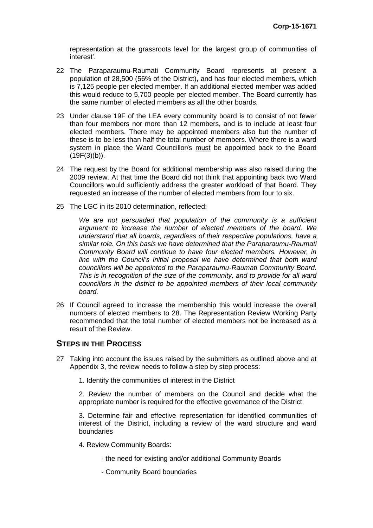representation at the grassroots level for the largest group of communities of interest'.

- 22 The Paraparaumu-Raumati Community Board represents at present a population of 28,500 (56% of the District), and has four elected members, which is 7,125 people per elected member. If an additional elected member was added this would reduce to 5,700 people per elected member. The Board currently has the same number of elected members as all the other boards.
- 23 Under clause 19F of the LEA every community board is to consist of not fewer than four members nor more than 12 members, and is to include at least four elected members. There may be appointed members also but the number of these is to be less than half the total number of members. Where there is a ward system in place the Ward Councillor/s must be appointed back to the Board  $(19F(3)(b))$ .
- 24 The request by the Board for additional membership was also raised during the 2009 review. At that time the Board did not think that appointing back two Ward Councillors would sufficiently address the greater workload of that Board. They requested an increase of the number of elected members from four to six.
- 25 The LGC in its 2010 determination, reflected:

*We are not persuaded that population of the community is a sufficient argument to increase the number of elected members of the board. We understand that all boards, regardless of their respective populations, have a similar role. On this basis we have determined that the Paraparaumu-Raumati Community Board will continue to have four elected members. However, in line with the Council's initial proposal we have determined that both ward councillors will be appointed to the Paraparaumu-Raumati Community Board. This is in recognition of the size of the community, and to provide for all ward councillors in the district to be appointed members of their local community board.*

26 If Council agreed to increase the membership this would increase the overall numbers of elected members to 28. The Representation Review Working Party recommended that the total number of elected members not be increased as a result of the Review.

### **STEPS IN THE PROCESS**

- 27 Taking into account the issues raised by the submitters as outlined above and at Appendix 3, the review needs to follow a step by step process:
	- 1. Identify the communities of interest in the District

2. Review the number of members on the Council and decide what the appropriate number is required for the effective governance of the District

3. Determine fair and effective representation for identified communities of interest of the District, including a review of the ward structure and ward boundaries

- 4. Review Community Boards:
	- the need for existing and/or additional Community Boards
	- Community Board boundaries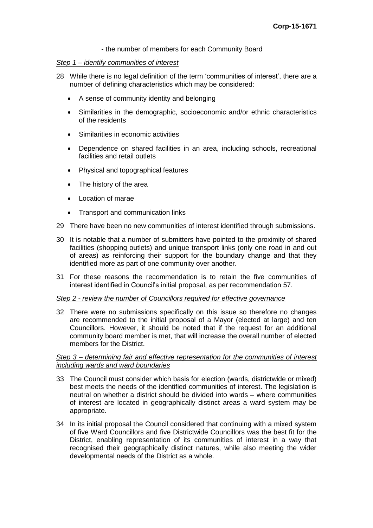- the number of members for each Community Board

### *Step 1 – identify communities of interest*

- 28 While there is no legal definition of the term 'communities of interest', there are a number of defining characteristics which may be considered:
	- A sense of community identity and belonging
	- Similarities in the demographic, socioeconomic and/or ethnic characteristics of the residents
	- Similarities in economic activities
	- Dependence on shared facilities in an area, including schools, recreational facilities and retail outlets
	- Physical and topographical features
	- The history of the area
	- Location of marae
	- Transport and communication links
- 29 There have been no new communities of interest identified through submissions.
- 30 It is notable that a number of submitters have pointed to the proximity of shared facilities (shopping outlets) and unique transport links (only one road in and out of areas) as reinforcing their support for the boundary change and that they identified more as part of one community over another.
- 31 For these reasons the recommendation is to retain the five communities of interest identified in Council's initial proposal, as per recommendation 57.

#### *Step 2 - review the number of Councillors required for effective governance*

32 There were no submissions specifically on this issue so therefore no changes are recommended to the initial proposal of a Mayor (elected at large) and ten Councillors. However, it should be noted that if the request for an additional community board member is met, that will increase the overall number of elected members for the District.

#### *Step 3 – determining fair and effective representation for the communities of interest including wards and ward boundaries*

- 33 The Council must consider which basis for election (wards, districtwide or mixed) best meets the needs of the identified communities of interest. The legislation is neutral on whether a district should be divided into wards – where communities of interest are located in geographically distinct areas a ward system may be appropriate.
- 34 In its initial proposal the Council considered that continuing with a mixed system of five Ward Councillors and five Districtwide Councillors was the best fit for the District, enabling representation of its communities of interest in a way that recognised their geographically distinct natures, while also meeting the wider developmental needs of the District as a whole.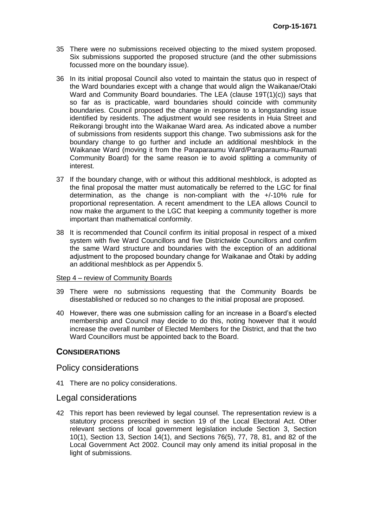- 35 There were no submissions received objecting to the mixed system proposed. Six submissions supported the proposed structure (and the other submissions focussed more on the boundary issue).
- 36 In its initial proposal Council also voted to maintain the status quo in respect of the Ward boundaries except with a change that would align the Waikanae/Otaki Ward and Community Board boundaries. The LEA (clause 19T(1)(c)) says that so far as is practicable, ward boundaries should coincide with community boundaries. Council proposed the change in response to a longstanding issue identified by residents. The adjustment would see residents in Huia Street and Reikorangi brought into the Waikanae Ward area. As indicated above a number of submissions from residents support this change. Two submissions ask for the boundary change to go further and include an additional meshblock in the Waikanae Ward (moving it from the Paraparaumu Ward/Paraparaumu-Raumati Community Board) for the same reason ie to avoid splitting a community of interest.
- 37 If the boundary change, with or without this additional meshblock, is adopted as the final proposal the matter must automatically be referred to the LGC for final determination, as the change is non-compliant with the +/-10% rule for proportional representation. A recent amendment to the LEA allows Council to now make the argument to the LGC that keeping a community together is more important than mathematical conformity.
- 38 It is recommended that Council confirm its initial proposal in respect of a mixed system with five Ward Councillors and five Districtwide Councillors and confirm the same Ward structure and boundaries with the exception of an additional adjustment to the proposed boundary change for Waikanae and Ōtaki by adding an additional meshblock as per Appendix 5.

### Step 4 – review of Community Boards

- 39 There were no submissions requesting that the Community Boards be disestablished or reduced so no changes to the initial proposal are proposed.
- 40 However, there was one submission calling for an increase in a Board's elected membership and Council may decide to do this, noting however that it would increase the overall number of Elected Members for the District, and that the two Ward Councillors must be appointed back to the Board.

### **CONSIDERATIONS**

### Policy considerations

41 There are no policy considerations.

### Legal considerations

42 This report has been reviewed by legal counsel. The representation review is a statutory process prescribed in section 19 of the Local Electoral Act. Other relevant sections of local government legislation include Section 3, Section 10(1), Section 13, Section 14(1), and Sections 76(5), 77, 78, 81, and 82 of the Local Government Act 2002. Council may only amend its initial proposal in the light of submissions.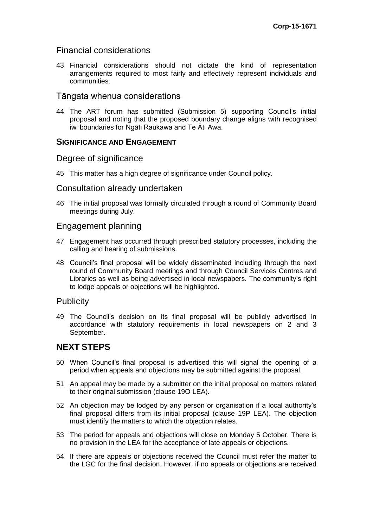## Financial considerations

43 Financial considerations should not dictate the kind of representation arrangements required to most fairly and effectively represent individuals and communities.

### Tāngata whenua considerations

44 The ART forum has submitted (Submission 5) supporting Council's initial proposal and noting that the proposed boundary change aligns with recognised iwi boundaries for Ngāti Raukawa and Te Āti Awa.

## **SIGNIFICANCE AND ENGAGEMENT**

## Degree of significance

45 This matter has a high degree of significance under Council policy.

### Consultation already undertaken

46 The initial proposal was formally circulated through a round of Community Board meetings during July.

### Engagement planning

- 47 Engagement has occurred through prescribed statutory processes, including the calling and hearing of submissions.
- 48 Council's final proposal will be widely disseminated including through the next round of Community Board meetings and through Council Services Centres and Libraries as well as being advertised in local newspapers. The community's right to lodge appeals or objections will be highlighted.

### **Publicity**

49 The Council's decision on its final proposal will be publicly advertised in accordance with statutory requirements in local newspapers on 2 and 3 September.

# **NEXT STEPS**

- 50 When Council's final proposal is advertised this will signal the opening of a period when appeals and objections may be submitted against the proposal.
- 51 An appeal may be made by a submitter on the initial proposal on matters related to their original submission (clause 19O LEA).
- 52 An objection may be lodged by any person or organisation if a local authority's final proposal differs from its initial proposal (clause 19P LEA). The objection must identify the matters to which the objection relates.
- 53 The period for appeals and objections will close on Monday 5 October. There is no provision in the LEA for the acceptance of late appeals or objections.
- 54 If there are appeals or objections received the Council must refer the matter to the LGC for the final decision. However, if no appeals or objections are received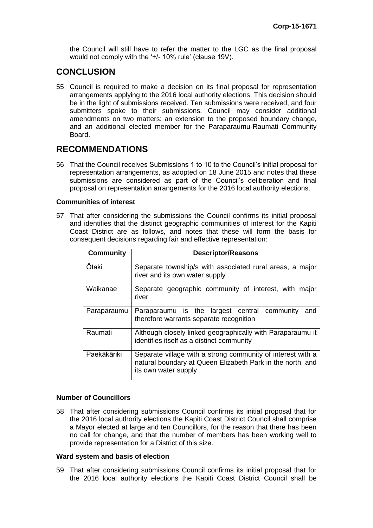the Council will still have to refer the matter to the LGC as the final proposal would not comply with the '+/- 10% rule' (clause 19V).

# **CONCLUSION**

55 Council is required to make a decision on its final proposal for representation arrangements applying to the 2016 local authority elections. This decision should be in the light of submissions received. Ten submissions were received, and four submitters spoke to their submissions. Council may consider additional amendments on two matters: an extension to the proposed boundary change, and an additional elected member for the Paraparaumu-Raumati Community Board.

# **RECOMMENDATIONS**

56 That the Council receives Submissions 1 to 10 to the Council's initial proposal for representation arrangements, as adopted on 18 June 2015 and notes that these submissions are considered as part of the Council's deliberation and final proposal on representation arrangements for the 2016 local authority elections.

### **Communities of interest**

57 That after considering the submissions the Council confirms its initial proposal and identifies that the distinct geographic communities of interest for the Kapiti Coast District are as follows, and notes that these will form the basis for consequent decisions regarding fair and effective representation:

| <b>Community</b> | <b>Descriptor/Reasons</b>                                                                                                                         |  |
|------------------|---------------------------------------------------------------------------------------------------------------------------------------------------|--|
| Ōtaki            | Separate township/s with associated rural areas, a major<br>river and its own water supply                                                        |  |
| Waikanae         | Separate geographic community of interest, with major<br>river                                                                                    |  |
| Paraparaumu      | Paraparaumu is the largest central community<br>and<br>therefore warrants separate recognition                                                    |  |
| Raumati          | Although closely linked geographically with Paraparaumu it<br>identifies itself as a distinct community                                           |  |
| Paekākāriki      | Separate village with a strong community of interest with a<br>natural boundary at Queen Elizabeth Park in the north, and<br>its own water supply |  |

### **Number of Councillors**

58 That after considering submissions Council confirms its initial proposal that for the 2016 local authority elections the Kapiti Coast District Council shall comprise a Mayor elected at large and ten Councillors, for the reason that there has been no call for change, and that the number of members has been working well to provide representation for a District of this size.

#### **Ward system and basis of election**

59 That after considering submissions Council confirms its initial proposal that for the 2016 local authority elections the Kapiti Coast District Council shall be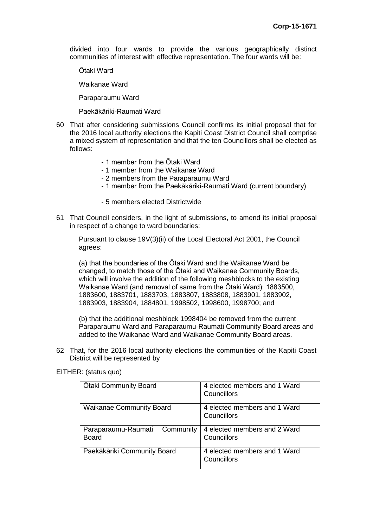divided into four wards to provide the various geographically distinct communities of interest with effective representation. The four wards will be:

Ōtaki Ward

Waikanae Ward

Paraparaumu Ward

Paekākāriki-Raumati Ward

- 60 That after considering submissions Council confirms its initial proposal that for the 2016 local authority elections the Kapiti Coast District Council shall comprise a mixed system of representation and that the ten Councillors shall be elected as follows:
	- 1 member from the Ōtaki Ward
	- 1 member from the Waikanae Ward
	- 2 members from the Paraparaumu Ward
	- 1 member from the Paekākāriki-Raumati Ward (current boundary)
	- 5 members elected Districtwide
- 61 That Council considers, in the light of submissions, to amend its initial proposal in respect of a change to ward boundaries:

Pursuant to clause 19V(3)(ii) of the Local Electoral Act 2001, the Council agrees:

(a) that the boundaries of the Ōtaki Ward and the Waikanae Ward be changed, to match those of the Ōtaki and Waikanae Community Boards, which will involve the addition of the following meshblocks to the existing Waikanae Ward (and removal of same from the Ōtaki Ward): 1883500, 1883600, 1883701, 1883703, 1883807, 1883808, 1883901, 1883902, 1883903, 1883904, 1884801, 1998502, 1998600, 1998700; and

(b) that the additional meshblock 1998404 be removed from the current Paraparaumu Ward and Paraparaumu-Raumati Community Board areas and added to the Waikanae Ward and Waikanae Community Board areas.

62 That, for the 2016 local authority elections the communities of the Kapiti Coast District will be represented by

| Otaki Community Board           | 4 elected members and 1 Ward<br>Councillors |
|---------------------------------|---------------------------------------------|
| <b>Waikanae Community Board</b> | 4 elected members and 1 Ward                |
|                                 |                                             |
|                                 | Councillors                                 |
|                                 |                                             |
| Paraparaumu-Raumati Community   | 4 elected members and 2 Ward                |
|                                 |                                             |
| <b>Board</b>                    | Councillors                                 |
|                                 |                                             |
| Paekākāriki Community Board     | 4 elected members and 1 Ward                |
|                                 |                                             |
|                                 | Councillors                                 |
|                                 |                                             |

EITHER: (status quo)